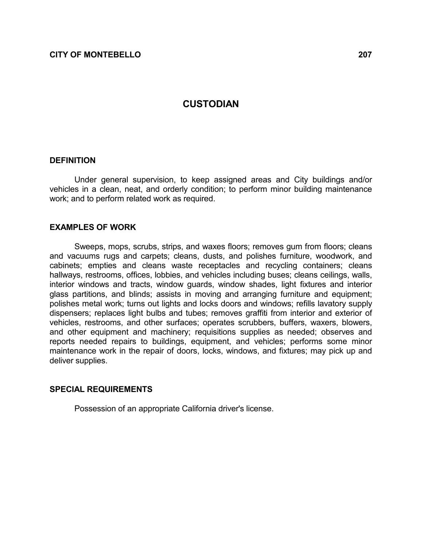# **CUSTODIAN**

#### **DEFINITION**

 Under general supervision, to keep assigned areas and City buildings and/or vehicles in a clean, neat, and orderly condition; to perform minor building maintenance work; and to perform related work as required.

## EXAMPLES OF WORK

 Sweeps, mops, scrubs, strips, and waxes floors; removes gum from floors; cleans and vacuums rugs and carpets; cleans, dusts, and polishes furniture, woodwork, and cabinets; empties and cleans waste receptacles and recycling containers; cleans hallways, restrooms, offices, lobbies, and vehicles including buses; cleans ceilings, walls, interior windows and tracts, window guards, window shades, light fixtures and interior glass partitions, and blinds; assists in moving and arranging furniture and equipment; polishes metal work; turns out lights and locks doors and windows; refills lavatory supply dispensers; replaces light bulbs and tubes; removes graffiti from interior and exterior of vehicles, restrooms, and other surfaces; operates scrubbers, buffers, waxers, blowers, and other equipment and machinery; requisitions supplies as needed; observes and reports needed repairs to buildings, equipment, and vehicles; performs some minor maintenance work in the repair of doors, locks, windows, and fixtures; may pick up and deliver supplies.

## SPECIAL REQUIREMENTS

Possession of an appropriate California driver's license.